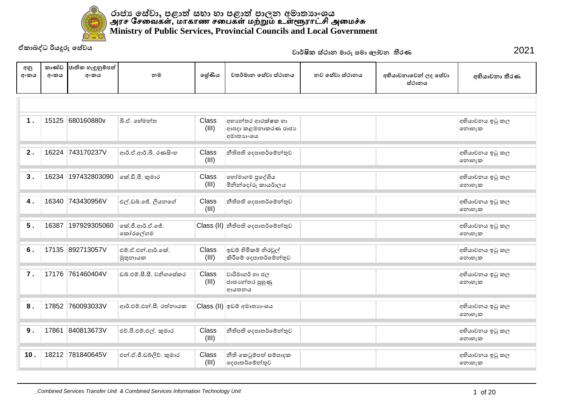

|             |               | ඒකාබද්ධ රියදූරු සේවය      |                               |                |                                                      | වාර්ෂික ස්ථාන මාරු සමා ලෝචන තීරණ |                                | 2021                     |
|-------------|---------------|---------------------------|-------------------------------|----------------|------------------------------------------------------|----------------------------------|--------------------------------|--------------------------|
| අනු<br>අංකය | කාණ්ඩ<br>අංකය | ජාතික හැඳුනුම්පත්<br>අංකය | නම                            | ලේණිය          | වතර්මාන සේවා ස්ථානය                                  | නව සේවා ස්ථානය                   | අභියාචනාවෙන් ලද සේවා<br>ස්ථානය | අභියාචනා තීරණ            |
|             |               |                           |                               |                |                                                      |                                  |                                |                          |
| 1.          |               | 15125 680160880v          | බී.ඒ. හේමන්ත                  | Class<br>(III) | අභාන්තර ආරක්ෂක හා<br>ආපදා කළමනාකරණ රාජා<br>අමාතාහංශය |                                  |                                | අභියාචනය ඉටු කල<br>නොහැක |
| 2.          | 16224         | 743170237V                | ආර්.ඒ.ආර්.බී. රණසිංහ          | Class<br>(III) | නීතිපති දෙපාතර්මේන්තුව                               |                                  |                                | අභියාචනය ඉටු කල<br>නොහැක |
| 3.          | 16234         | 197432803090              | කේ.ඩී.පී. කුමාර               | Class<br>(III) | හෝමාගම පුදේශිය<br>මිනින්දෝරු කායර්ාලය                |                                  |                                | අභියාවනය ඉටු කල<br>නොහැක |
| 4.          |               | 16340 743430956V          | එල්.ඩබ්.ජේ. ලියනගේ            | Class<br>(III) | නීතිපති දෙපාතර්මේන්තුව                               |                                  |                                | අභියාවනය ඉටු කල<br>නොහැක |
| 5.          | 16387         | 197929305060              | ංක්.ජී.ආර්.ඒ.ජේ.<br>කෝරලේගම   |                | $Class (II)$ නීතිපති දෙපාතර්මේන්තුව                  |                                  |                                | අභියාවනය ඉටු කල<br>නොහැක |
| $\bf 6$ .   |               | 17135 892713057V          | එම්.ඒ.එන්.ආර්.කේ.<br>මුතුනායක | Class<br>(III) | ඉඩම් හිමිකම් නිරවුල්<br>කිරීමේ දෙපාතර්මේන්තුව        |                                  |                                | අභියාවනය ඉටු කල<br>නොහැක |
| 7.          |               | 17176 761460404V          | ඩබ්.එම්.සී.සී. වනිගසේකර       | Class<br>(III) | වාරිමාගර් හා ජල<br>ජාතාහේතර පුහුණු<br>ආයතනය          |                                  |                                | අභියාචනය ඉටු කල<br>නොහැක |
| 8.          | 17852         | 760093033V                | ආර්.එම්.එන්.සී. රත්නායක       |                | Class (II) ඉඩම් අමාතහංශය                             |                                  |                                | අභියාවනය ඉටු කල<br>නොහැක |
| 9.          | 17861         | 840813673V                | එච්.පී.එම්.එල්. කුමාර         | Class<br>(III) | නීතිපති දෙපාතර්මේන්තුව                               |                                  |                                | අභියාවනය ඉටු කල<br>නොහැක |
| 10.         |               | 18212 781840645V          | එන්.ඒ.ජී.ඩබ්ලිව්, කුමාර       | Class<br>(III) | නීති කෙටුම්පත් සම්පාදක<br>දෙපාතර්මේන්තුව             |                                  |                                | අභියාවනය ඉටු කල<br>නොහැක |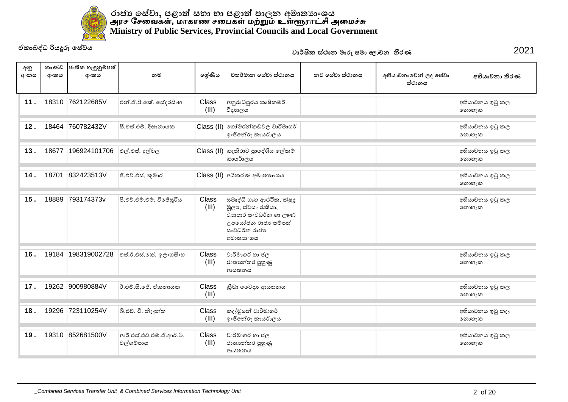

| අනු<br>අංකය | කාණ්ඩ<br>අංකය | ජාතික හැඳුනුම්පත්<br>අංකය | නම                                     | ලේණිය                 | වතර්මාන සේවා ස්ථානය                                                                                                         | නව සේවා ස්ථානය | අභියාචනාවෙන් ලද සේවා<br>ස්ථානය | අභියාචනා තීරණ            |
|-------------|---------------|---------------------------|----------------------------------------|-----------------------|-----------------------------------------------------------------------------------------------------------------------------|----------------|--------------------------------|--------------------------|
| 11.         | 18310         | 762122685V                | එන්.ඒ.පී.කේ. සේදරසිංහ                  | <b>Class</b><br>(III) | අනුරාධපුරය කෘෂිකමර්<br>විදාහලය                                                                                              |                |                                | අභියාචනය ඉටු කල<br>නොහැක |
| 12.         | 18464         | 760782432V                | සී.එස්.එම්. දිසානායක                   |                       | Class (II) ගෝමරන්කඩවල වාරිමාගර්<br>ඉංජිනේරු කායර්ාලය                                                                        |                |                                | අභියාචනය ඉටු කල<br>෩හැක  |
| 13.         | 18677         | 196924101706              | එල්.එස්. දූල්වල                        |                       | Class (II) කැකිරාව පුාදේශීය ලේකම්<br>කායර්ාලය                                                                               |                |                                | අභියාවනය ඉටු කල<br>෩හැක  |
| 14.         | 18701         | 832423513V                | ජී.එච්.එස්. කුමාර                      |                       | Class (II) අධිකරණ අමාතාහංශය                                                                                                 |                |                                | අභියාවනය ඉටු කල<br>නොහැක |
| 15.         | 18889         | 793174373v                | පී.එච්.එම්.එම්. විජේසූරිය              | Class<br>(III)        | සමෘද්ධි ගෘහ ආථරීක, ක්ෂුදු<br>මූලා, ස්වයං රැකියා,<br>වාහපාර සංවධර්න හා ඌණ<br>උපයෝජන රාජා සම්පත්<br>සංවධර්න රාජා<br>අමාතාහංශය |                |                                | අභියාවනය ඉටු කල<br>නොහැක |
| 16.         | 19184         | 198319002728              | එස්.ඊ.එස්.කේ. ඉලංගසිංහ                 | Class<br>(III)        | වාරිමාගර් හා ජල<br>ජාතාන්තර පුහුණු<br>ආයතනය                                                                                 |                |                                | අභියාචනය ඉටු කල<br>නොහැක |
| 17.         | 19262         | 900980884V                | ඊ.එම්.සී.ජේ. ඒකතායක                    | Class<br>(III)        | කීඩා වෛදා ආයතනය                                                                                                             |                |                                | අභියාචනය ඉටු කල<br>නොහැක |
| 18.         | 19296         | 723110254V                | බී.එච්. ටී. නිලන්ත                     | <b>Class</b><br>(III) | කල්මුනේ වාරිමාගර්<br>ඉංජිනේරු කායර්ාලය                                                                                      |                |                                | අභියාචනය ඉටු කල<br>නොහැක |
| 19.         | 19310         | 852681500V                | ආර්.එස්.එච්.එම්.ඒ.ආර්.බී.<br>වල්ගම්පාය | Class<br>(III)        | වාරිමාගර් හා ජල<br>ජාතාහේතර පුහුණු<br>ආයතනය                                                                                 |                |                                | අභියාචනය ඉටු කල<br>නොහැක |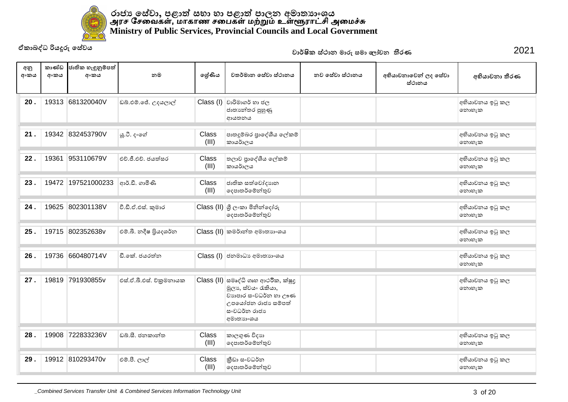

| අනු<br>අංකය | කාණ්ඩ<br>අංකය | ජාතික හැඳුනුම්පත්<br>අංකය | නම                      | ලේණිය          | වතර්මාන සේවා ස්ථානය                                                                                                         | නව සේවා ස්ථානය | අභියාචනාවෙන් ලද සේවා<br>ස්ථානය | අභියාචනා තීරණ            |
|-------------|---------------|---------------------------|-------------------------|----------------|-----------------------------------------------------------------------------------------------------------------------------|----------------|--------------------------------|--------------------------|
| 20.         |               | 19313 681320040V          | ඩබ්.එම්.ජේ. උදයලාල්     |                | $Class (I)$ වාරිමාගර් හා ජල<br>ජාතාහේතර පුහුණු<br>ආයතනය                                                                     |                |                                | අභියාවනය ඉටු කල<br>නොහැක |
| 21.         |               | 19342 832453790V          | යූ.ටී. දංගේ             | Class<br>(III) | පාතදුම්බර පුාදේශීය ලේකම්<br>කායර්ාලය                                                                                        |                |                                | අභියාචනය ඉටු කල<br>නොහැක |
| 22.         | 19361         | 953110679V                | එච්.ජී.එච්. ජයත්සර      | Class<br>(III) | තලාව පුාදේශීය ලේකම්<br>කායර්ාලය                                                                                             |                |                                | අභියාචනය ඉටු කල<br>නොහැක |
| 23.         | 19472         | 197521000233              | ආර්.ඩී. ගාමිණි          | Class<br>(III) | ජාතික සත්වෝදාහන<br>දෙපාතර්මේන්තුව                                                                                           |                |                                | අභියාවනය ඉටු කල<br>නොහැක |
| 24.         | 19625         | 802301138V                | වී.ඩී.ඒ.එස්. කුමාර      |                | Class (II) ශූී ලංකා මිනින්දෝරු<br>දෙපාතර්මේන්තුව                                                                            |                |                                | අභියාවනය ඉටු කල<br>නොහැක |
| 25.         | 19715         | 802352638v                | එම්.බී. නදීෂ පියදශර්න   |                | Class (II) කමර්ාන්ත අමාතාහංශය                                                                                               |                |                                | අභියාචනය ඉටු කල<br>නොහැක |
| 26.         | 19736         | 660480714V                | ඩී.කේ. ජයරත්ත           |                | Class (I) ජනමාධා අමාතාහංශය                                                                                                  |                |                                | අභියාචනය ඉටු කල<br>නොහැක |
| 27.         | 19819         | 791930855v                | එස්.ඒ.බී.එස්. විකුමනායක | Class (II)     | සමෘද්ධි ගෘහ ආථරීක, ක්ෂූදු<br>මූලා, ස්වයං රැකියා,<br>වාහපාර ස∘වධර්න හා ඌණ<br>උපයෝජන රාජා සම්පත්<br>සංවධර්න රාජා<br>අමාතාහංශය |                |                                | අභියාචනය ඉටු කල<br>නොහැක |
| 28.         | 19908         | 722833236V                | ඩබ්.සී. ජනකාන්ත         | Class<br>(III) | කාලගුණ විදාහ<br>දෙපාතර්මේන්තුව                                                                                              |                |                                | අභියාචනය ඉටු කල<br>නොහැක |
| 29.         |               | 19912 810293470v          | එම්.පී. ලාල්            | Class<br>(III) | කීඩා සංවධර්න<br>දෙපාතර්මේන්තුව                                                                                              |                |                                | අභියාචනය ඉටු කල<br>නොහැක |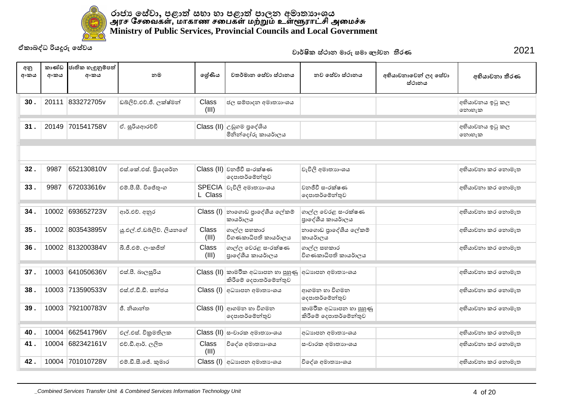

|             |               | ඒකාබද්ධ රියදූරු සේවය      |                          |                |                                                             | වාර්ෂික ස්ථාන මාරු සමා ලෝචන තීරණ                 |                                | 2021                     |
|-------------|---------------|---------------------------|--------------------------|----------------|-------------------------------------------------------------|--------------------------------------------------|--------------------------------|--------------------------|
| අනු<br>අංකය | කාණ්ඩ<br>අංකය | ජාතික හැඳුනුම්පත්<br>අංකය | නම                       | ලශ්ණිය         | වතර්මාන සේවා ස්ථානය                                         | නව සේවා ස්ථානය                                   | අභියාචනාවෙන් ලද සේවා<br>ස්ථානය | අභියාචනා තීරණ            |
| 30.         |               | 20111 833272705v          | ඩබ්ලිව්.එච්.ජී. ලක්ෂ්මන් | Class<br>(III) | ජල සම්පාදන අමාතාගංශය                                        |                                                  |                                | අභියාචනය ඉටු කල<br>නොහැක |
| 31.         | 20149         | 701541758V                | ඒ. සූරියආරච්චි           |                | Class (II) උඩුගම පුදේශිය<br>මිනින්දෝරු කායර්ාලය             |                                                  |                                | අභියාචනය ඉටු කල<br>෩හැක  |
|             |               |                           |                          |                |                                                             |                                                  |                                |                          |
| 32.         | 9987          | 652130810V                | එස්.කේ.එස්. පියදශර්න     |                | $Class$ (II) වනජීවී සංරක්ෂණ<br>දෙපාතර්මේන්තුව               | වැවිලි අමාතාහංශය                                 |                                | අභියාවනා කර නොමැත        |
| 33.         | 9987          | 672033616v                | එම්.පී.සී. විජේතුංග      | L Class        | SPECIA වැවිලි අමාතාහංශය                                     | වනජීවී සංරක්ෂණ<br>දෙපාතර්මේන්තුව                 |                                | අභියාචනා කර නොමැත        |
| 34.         | 10002         | 693652723V                | ආර්.එච්. අනුර            |                | Class (I)  නාගොඩ පුාදේශීය ලේකම්<br>කායර්ාලය                 | ගාල්ල වෙරළ සංරක්ෂණ<br>පාදේශීය කායර්ාලය           |                                | අභියාචනා කර නොමැත        |
| 35.         |               | 10002 803543895V          | ශු.එල්.ඒ.ඩබ්ලිව්. ලියනගේ | Class<br>(III) | ගාල්ල සහකාර<br>විගණකාධිපති කායර්ාලය                         | නාගොඩ පුාදේශීය ලේකම්<br>කායර්ාලය                 |                                | අභියාචනා කර නොමැත        |
| 36.         |               | 10002 813200384V          | බී.ජී.එම්. ලංකජිත්       | Class<br>(III) | ගාල්ල වෙරළ සංරක්ෂණ<br>පාදේශීය කායර්ාලය                      | ගාල්ල සහකාර<br>විගණකාධිපති කායර්ාලය              |                                | අභියාචනා කර නොමැත        |
| 37.         | 10003         | 641050636V                | එස්.පී. බාලසූරිය         |                | Class (II) කාමරීක අධාහපන හා පුහුණු<br>කිරීමේ දෙපාතර්මේන්තුව | අධාහපන අමාතා ශය                                  |                                | අභියාවනා කර නොමැත        |
| 38.         | 10003         | 713590533V                | එස්.ඒ.ඩී.ඩී. සත්ජය       |                | Class (I) අධාහපන අමාතාංශය                                   | ආගමන හා විගමන<br>දෙපාතර්මේන්තුව                  |                                | අභියාචනා කර නොමැත        |
| 39.         |               | 10003 792100783V          | ජී. නිශාන්ත              |                | Class (II) ආගමන හා විගමන<br>දෙපාතර්මේන්තුව                  | කාමරීක අධාහපන හා පුහුණු<br>කිරීමේ දෙපාතර්මේන්තුව |                                | අභියාවනා කර නොමැත        |
|             | 10004         | 662541796V                |                          |                |                                                             |                                                  |                                |                          |
| 40.         |               |                           | එල්.එස්. විකුමතිලක       |                | Class (II) සංචාරක අමාතාහංශය                                 | අධාහපන අමාතා ංශය                                 |                                | අභියාචනා කර නොමැත        |
| 41.         | 10004         | 682342161V                | එච්.ඩී.ආර්. ලලිත         | Class<br>(III) | විදේශ අමාතාහංශය                                             | සංචාරක අමාතාහංශය                                 |                                | අභියාචනා කර නොමැත        |
| 42.         |               | 10004 701010728V          | එම්.ඩී.සී.ජේ. කුමාර      |                | Class (I) අධාහපන අමාතාංශය                                   | විදේශ අමාතාහංශය                                  |                                | අභියාචනා කර නොමැත        |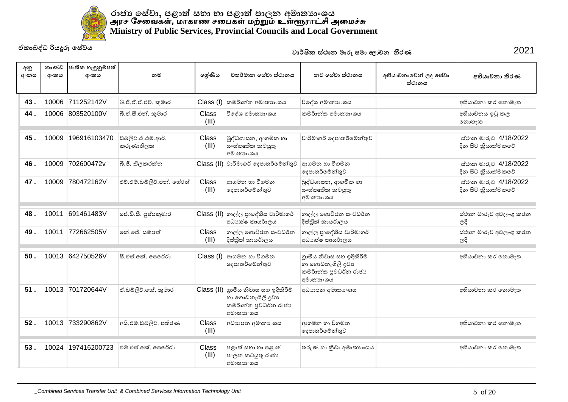

| අනු<br>අංකය | කාණ්ඩ<br>අංකය | ජාතික හැඳුනුම්පත්<br>අංකය | නම                              | ලශ්ණිය                | වතර්මාන සේවා ස්ථානය                                                                             | නව සේවා ස්ථානය                                                                      | අභියාචනාවෙන් ලද සේවා<br>ස්ථානය | අභියාචනා තීරණ                               |
|-------------|---------------|---------------------------|---------------------------------|-----------------------|-------------------------------------------------------------------------------------------------|-------------------------------------------------------------------------------------|--------------------------------|---------------------------------------------|
| 43.         |               | 10006 711252142V          | බී.ජී.ඒ.ඒ.එච්. කුමාර            | Class (I)             | කමර්ාන්ත අමාතාහංශය                                                                              | විදේශ අමාතාහංශය                                                                     |                                | අභියාචනා කර නොමැත                           |
| 44.         | 10006         | 803520100V                | බී.ඒ.සී.එන්. කුමාර              | Class<br>(III)        | විදේශ අමාතාහංශය                                                                                 | කමර්ාන්ත අමාතාහංශය                                                                  |                                | අභියාවනය ඉටු කල<br>නොහැක                    |
| 45.         | 10009         | 196916103470              | ඩබ්ලිව්.ඒ.එම්.ආර්.<br>කරුණාතිලක | Class<br>(III)        | බුද්ධශාසන, ආගමික හා<br>ස∘ස්කෘතික කටයුතු<br>අමාතාහංශය                                            | වාරිමාගර් දෙපාතර්මේන්තුව                                                            |                                | ස්ථාන මාරුව 4/18/2022<br>දින සිට කියාත්මකවේ |
| 46.         | 10009         | 702600472v                | බී.ජී. තිලකරත්න                 |                       | Class (II) වාරිමාගර් දෙපාතර්මේන්තුව                                                             | ආගමන හා විගමන<br>දෙපාතර්මේන්තුව                                                     |                                | ස්ථාන මාරුව 4/18/2022<br>දින සිට කියාත්මකවේ |
| 47.         | 10009         | 780472162V                | එච්.එම්.ඩබ්ලිව්.එන්. හේරත්      | Class<br>(III)        | ආගමන හා විගමන<br>දෙපාතර්මේන්තුව                                                                 | බුද්ධශාසන, ආගමික හා<br>ස∘ස්කෘතික කටයුතු<br>අමාතාගංශය                                |                                | ස්ථාන මාරුව 4/18/2022<br>දින සිට කියාත්මකවේ |
| 48.         | 10011         | 691461483V                | ජේ.ඩී.සී. පුෂ්පකුමාර            |                       | Class (II) ගාල්ල පාදේශීය වාරිමාගර්<br>අධාකේෂ කායර්ාලය                                           | ගාල්ල ගොවිජන සංවධර්න<br>දිස්තික් කායර්ාලය                                           |                                | ස්ථාන මාරුව අවලංගු කරන<br>ලදී               |
| 49.         | 10011         | 772662505V                | ඉක් ලේ. සම්පත්                  | Class<br>(III)        | ගාල්ල ගොවිජන සංවධර්න<br>දිස්තික් කායර්ාලය                                                       | ගාල්ල පාදේශීය වාරිමාගර්<br>අධා ක්ෂ කායර්ාලය                                         |                                | ස්ථාන මාරුව අවලංගු කරන<br>ලදී               |
| 50.         | 10013         | 642750526V                | සී.එස්.කේ. පෙරේරා               | Class (I)             | ආගමන හා විගමන<br>දෙපාතර්මේන්තුව                                                                 | ගුාමීය නිවාස සහ ඉදිකිරීම්<br>හා ගොඩනැගිලි දවා<br>කමර්ාන්ත පුවධර්න රාජා<br>අමාතාහංශය |                                | අභියාචනා කර නොමැත                           |
| 51.         | 10013         | 701720644V                | ඒ.ඩබ්ලිව්.කේ. කුමාර             |                       | Class (II) ගුාමීය නිවාස සහ ඉදිකිරීම්<br>හා ගොඩනැගිලි දුවා<br>කමර්ාන්ත පුවධර්න රාජා<br>අමාතාහංශය | අධාහපන අමාතා ංශය                                                                    |                                | අභියාචනා කර නොමැත                           |
| 52.         |               | 10013 733290862V          | අයි.එම්.ඩබ්ලිව්, පතිරණ          | <b>Class</b><br>(III) | අධාහපන අමාතා ංශය                                                                                | ආගමන හා විගමන<br>දෙපාතර්මේන්තුව                                                     |                                | අභියාචනා කර නොමැත                           |
| 53.         | 10024         | 197416200723              | එම්.එස්.කේ. පෙරේරා              | Class<br>(III)        | පළාත් සභා හා පළාත්<br>පාලන කටයුතු රාජා<br>අමාතාහංශය                                             | තරුණ හා කීඩා අමාතාගංශය                                                              |                                | අභියාචනා කර නොමැත                           |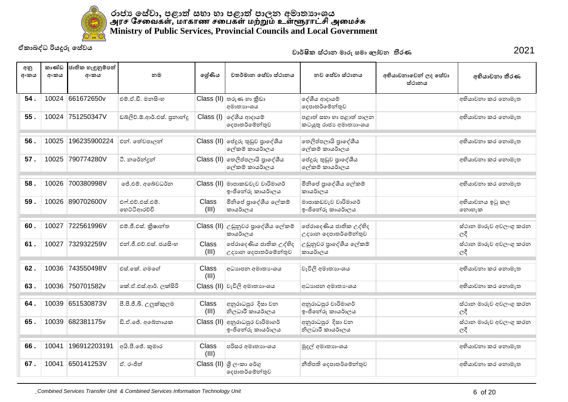

| අනු<br>අංකය | කාණ්ඩ<br>අංකය | ජාතික හැඳුනුම්පත්<br>අංකය | නම                               | ලශ්ණිය         | වතර්මාන සේවා ස්ථානය                                 | නව සේවා ස්ථානය                                   | අභියාචනාවෙන් ලද සේවා<br>ස්ථානය | අභියාචනා තීරණ                 |
|-------------|---------------|---------------------------|----------------------------------|----------------|-----------------------------------------------------|--------------------------------------------------|--------------------------------|-------------------------------|
| 54.         |               | 10024 661672650v          | එම්.ඒ.ඩී. මනසිංහ                 |                | $Class$ (II) තරුණ හා කීඩා<br>අමාතාහංශය              | දේශීය ආදායම්<br>දෙපාතර්මේන්තුව                   |                                | අභියාවනා කර නොමැත             |
| 55.         |               | 10024 751250347V          | ඩබලිව්.ඕ.ආර්.එස්. පුනාන්දු       |                | $Class (I)$ ලද්ශීය ආදායම්<br>දෙපාතර්මේන්තුව         | පළාත් සභා හා පළාත් පාලන<br>කටයුතු රාජා අමාතාහංශය |                                | අභියාචනා කර නොමැත             |
| 56.         | 10025         | 196235900224              | එන්. තේවපාලන්                    |                | Class (II) ජෙදුරු තුඩුව පාදේශීය<br>ලේකම් කායර්ාලය   | තෙලිප්පලායි පාදේශීය<br>ලේකම් කායර්ාලය            |                                | අභියාචනා කර නොමැත             |
| 57.         | 10025         | 790774280V                | ටී. නරේන්දන්                     |                | Class (II) තෙලිප්පලායි පාදේශීය<br>ලේකම් කායර්ාලය    | පේදුරු තුඩුව පුාදේශීය<br>ලේකම් කායර්ාලය          |                                | අභියාචනා කර නොමැත             |
| 58.         | 10026         | 700380998V                | ජේ.එම්. අබේවධර්න                 |                | Class (II) මාපාකඩවැව වාරිමාගර්<br>ඉංජිනේරු කායර්ාලය | මිනිසේ පාදේශීය ලේකම්<br>කායර්ාලය                 |                                | අභියාචනා කර නොමැත             |
| 59.         |               | 10026 890702600V          | එෆ්.එච්.එස්.එම්.<br>ගෙට්ටිආරච්චි | Class<br>(III) | මිනිසේ පාදේශීය ලේකම්<br>කායර්ාලය                    | මාපාකඩවැව වාරිමාගර්<br>ඉංජිනේරු කායර්ාලය         |                                | අභියාචනය ඉටු කල<br>නොහැක      |
| 60.         | 10027         | 722561996V                | එම්.ජී.එස්. කිුෂාන්ත             |                | Class (II) උඩුනුවර පුාදේශීය ලේකම්<br>කායර්ාලය       | පේරාදෙණිය ජාතික උද්භිද<br>උදාහන දෙපාතර්මේන්තුව   |                                | ස්ථාන මාරුව අවලංගු කරන<br>ලදී |
| 61.         | 10027         | 732932259V                | එන්.ජී.එච්.එස්. ජයසිංහ           | Class<br>(III) | පේරාදෙණිය ජාතික උද්භිද<br>උදාහන දෙපාතර්මේන්තුව      | උඩුනුවර පාදේශීය ලේකම්<br>කායර්ාලය                |                                | ස්ථාන මාරුව අවලංගු කරන<br>ලදී |
| 62.         | 10036         | 743550498V                | එස්.කේ. ගමගේ                     | Class<br>(III) | අධාහපන අමාතා ංශය                                    | වැවිලි අමාතාහංශය                                 |                                | අභියාචනා කර නොමැත             |
| 63.         |               | 10036 750701582v          | කේ.ඒ.එස්.ආර්. ලක්සිරි            |                | Class (II) වැවිලි අමාතාහංශය                         | අධාහපන අමාතා ංශය                                 |                                | අභියාචනා කර නොමැත             |
| 64.         | 10039         | 651530873V                | පී.පී.ජී.බී. උලුක්කුලම           | Class<br>(III) | අනුරාධපුර දිසා වන<br>නිලධාරී කායර්ාලය               | අනුරාධපුර වාරිමාගර්<br>ෞජිතේරු කායර්ාලය          |                                | ස්ථාන මාරුව අවලංගු කරන<br>ලදී |
| 65.         |               | 10039 682381175v          | ඩි.ඒ.ජේ. අබේනායක                 |                | Class (II) අනුරාධපුර වාරිමාගර්<br>ඉංජිනේරු කායර්ාලය | අනුරාධපුර දිසා වන<br>නිලධාරී කායර්ාලය            |                                | ස්ථාන මාරුව අවලංගු කරන<br>ලදී |
| 66.         | 10041         | 196912203191              | අයි.පී.ජේ. කුමාර                 | Class<br>(III) | පරිසර අමාතාහංශය                                     | මුදල් අමාතාහංශය                                  |                                | අභියාචනා කර නොමැත             |
| 67.         | 10041         | 650141253V                | ඒ. රංජිත්                        |                | $Class$ (II) ගී ලංකා රේගු<br>දෙපාතර්මේන්තුව         | නීතිපති දෙපාතර්මේන්තුව                           |                                | අභියාචනා කර නොමැත             |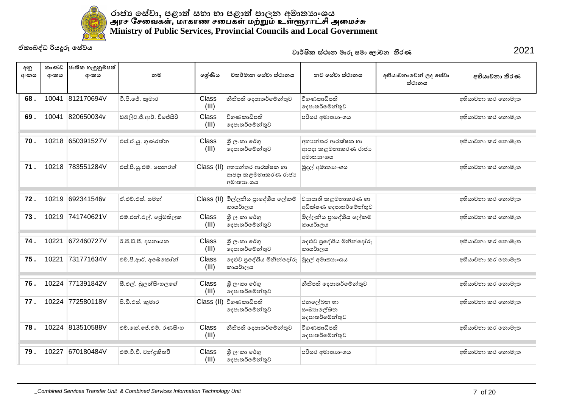

| අනු<br>අංකය | කාණ්ඩ<br>අංකය | ජාතික හැඳුනුම්පත්<br>අංකය | නම                       | ලශ්ණිය         | වතර්මාන සේවා ස්ථානය                                               | නව සේවා ස්ථානය                                       | අභියාචනාවෙන් ලද සේවා<br>ස්ථානය | අභියාචනා තීරණ     |
|-------------|---------------|---------------------------|--------------------------|----------------|-------------------------------------------------------------------|------------------------------------------------------|--------------------------------|-------------------|
| 68.         | 10041         | 812170694V                | ටී.පී.ජේ. කුමාර          | Class<br>(III) | නීතිපති දෙපාතර්මේන්තුව                                            | විගණකාධිපති<br>දෙපාතර්මේන්තුව                        |                                | අභියාචනා කර නොමැත |
| 69.         | 10041         | 820650034v                | ඩබ්ලිව්.ජී.ආර්. විජේසිරි | Class<br>(III) | විගණකාධිපති<br>දෙපාතර්මේන්තුව                                     | පරිසර අමාතාහංශය                                      |                                | අභියාචනා කර නොමැත |
| 70.         |               | 10218 650391527V          | එස්.ඒ.ශු. ගුණරත්න        | Class<br>(III) | ශී ලංකා රේගු<br>දෙපාතර්මේන්තුව                                    | අභානේතර ආරක්ෂක හා<br>ආපදා කළමනාකරණ රාජා<br>අමාතාහංශය |                                | අභියාවනා කර නොමැත |
| 71.         |               | 10218 783551284V          | එස්.පී.ශූ.එම්. සෙනරත්    |                | $Class$ (II) අභානේතර ආරක්ෂක හා<br>ආපදා කළමනාකරණ රාජා<br>අමාතාහංශය | මුදල් අමාතාහංශය                                      |                                | අභියාචනා කර නොමැත |
| 72.         | 10219         | 692341546v                | ඒ.එච්.එස්. සමන්          |                | Class (II) මිල්ලනිය පුංදේශීය ලේකම්<br>කායර්ාලය                    | වාහපෘති කළමනාකරණ හා<br>අධීක්ෂණ දෙපාතර්මේන්තුව        |                                | අභියාවනා කර නොමැත |
| 73.         | 10219         | 741740621V                | එම්.එන්.එල්. ජේමතිලක     | Class<br>(III) | ශී ලංකා රේගු<br>දෙපාතර්මේන්තුව                                    | මිල්ලනිය පුාදේශීය ලේකම්<br>කායර්ාලය                  |                                | අභියාචනා කර නොමැත |
| 74.         | 10221         | 672460727V                | ර්.පී.ඩී.පී. දසනායක      | Class<br>(III) | ශී ලංකා රේගු<br>දෙපාතර්මේන්තුව                                    | දෙළුව පුදේශිය මිනින්දෝරු<br>කායර්ාලය                 |                                | අභියාචනා කර නොමැත |
| 75.         | 10221         | 731771634V                | එච්.පී.ආර්. අබේකෝන්      | Class<br>(III) | දෙළුව පුදේශිය මිනින්දෝරු<br>කායර්ාලය                              | මුදල් අමාතාහංශය                                      |                                | අභියාචනා කර නොමැත |
| 76.         |               | 10224 771391842V          | සී.එල්. බූලත්සිංහලගේ     | Class<br>(III) | ශී ලංකා රේගු<br>දෙපාතර්මේන්තුව                                    | නීතිපති දෙපාතර්මේන්තුව                               |                                | අභියාවනා කර නොමැත |
| 77.         |               | 10224 772580118V          | පී.ඩී.එස්. කුමාර         |                | Class (II) විගණකාධිපති<br>දෙපාතර්මේන්තුව                          | ජනලේඛන හා<br>සංඛාහලේඛන<br>දෙපාතර්මේන්තුව             |                                | අභියාචනා කර නොමැත |
| 78.         |               | 10224 813510588V          | එච්.කේ.ජේ.එම්. රණසිංහ    | Class<br>(III) | නීතිපති දෙපාතර්මේන්තුව                                            | විගණකාධිපති<br>දෙපාතර්මේන්තුව                        |                                | අභියාචනා කර නොමැත |
| 79.         | 10227         | 670180484V                | එම්.ටී.වී. චන්දුකීතථි    | Class<br>(III) | ශී ලංකා රේගු<br>දෙපාතර්මේන්තුව                                    | පරිසර අමාතාහංශය                                      |                                | අභියාවනා කර නොමැත |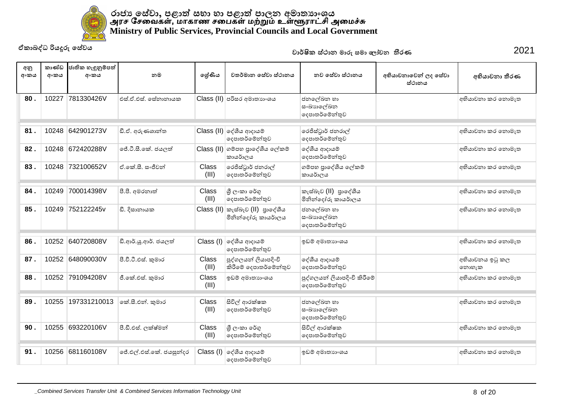

| අනු<br>අංකය | කාණ්ඩ<br>අංකය | ජාතික හැඳුනුම්පත්<br>අංකය | නම                      | ලශ්ණිය                | වතර්මාන සේවා ස්ථානය                           | නව සේවා ස්ථානය                                | අභියාචනාවෙන් ලද සේවා<br>ස්ථානය | අභියාචනා තීරණ            |
|-------------|---------------|---------------------------|-------------------------|-----------------------|-----------------------------------------------|-----------------------------------------------|--------------------------------|--------------------------|
| 80.         | 10227         | 781330426V                | එස්.ඒ.එස්. සේනානායක     |                       | Class (II) පරිසර අමාතාහංශය                    | ජනලේඛන හා<br>සංඛාහලේඛන<br>දෙපාතර්මේන්තුව      |                                | අභියාවනා කර නොමැත        |
| 81.         | 10248         | 642901273V                | ඩී.ඒ. අරුණශාන්ත         |                       | Class (II) ලද්ශීය ආදායම්<br>දෙපාතර්මේන්තුව    | රෙජිස්ටුාර් ජනරාල්<br>දෙපාතර්මේන්තුව          |                                | අභියාචනා කර නොමැත        |
| 82.         |               | 10248 672420288V          | ජේ.ටී.සී.කේ. ජයලත්      |                       | Class (II) ගම්පහ පුාදේශීය ලේකම්<br>කායර්ාලය   | දේශීය ආදායම්<br>දෙපාතර්මේන්තුව                |                                | අභියාචනා කර නොමැත        |
| 83.         | 10248         | 732100652V                | ඒ .කේ.සී. සංජීවන්       | <b>Class</b><br>(III) | රෙජිස්ටුාර් ජනරාල්<br> ලදපාතර්මේන්තුව         | ගම්පහ පුාදේශීය ලේකම්<br>කායර්ාලය              |                                | අභියාචනා කර නොමැත        |
| 84.         | 10249         | 700014398V                | පී.පී. අමරතාත්          | <b>Class</b><br>(III) | ශී ලංකා රේගු<br>දෙපාතර්මේන්තුව                | කැස්බෑව (II) පාලේශීය<br>මිනින්දෝරු කායර්ාලය   |                                | අභියාචනා කර නොමැත        |
| 85.         | 10249         | 752122245v                | ඩී. දිසානායක            | Class (II)            | කැස්බෑව (II) පාලේශීය<br>මිනින්දෝරු කායර්ාලය   | ජනලේඛන හා<br>සංඛාහලේඛන<br>දෙපාතර්මේන්තුව      |                                | අභියාචනා කර නොමැත        |
| 86.         | 10252         | 640720808V                | ඩී.ආර්.ශූ.ආර්. ජයලත්    | Class $(I)$           | ලද්ශීය ආදායම්<br>දෙපාතර්මේන්තුව               | ඉඩම් අමාතාහංශය                                |                                | අභියාවනා කර නොමැත        |
| 87.         | 10252         | 648090030V                | පී.වී.ටී.එස්. කුමාර     | Class<br>(III)        | පුද්ගලයන් ලියාපදිංචි<br>කිරීමේ දෙපාතර්මේන්තුව | දේශීය ආදායම්<br>දෙපාතර්මේන්තුව                |                                | අභියාවනය ඉටු කල<br>නොහැක |
| 88.         | 10252         | 791094208V                | ජී.කේ.එස්. කුමාර        | Class<br>(III)        | ඉඩම් අමාතාහංශය                                | පුද්ගලයන් ලියාපදිංචි කිරීමේ<br>දෙපාතර්මේන්තුව |                                | අභියාවනා කර නොමැත        |
| 89.         | 10255         | 197331210013              | කේ.සී.එන්. කුමාර        | Class<br>(III)        | සිවිල් ආරක්ෂක<br>දෙපාතර්මේන්තුව               | ජනලේඛන හා<br>සංඛාහලේඛන<br>දෙපාතර්මේන්තුව      |                                | අභියාවනා කර නොමැත        |
| 90.         | 10255         | 693220106V                | පී.ඩී.එස්. ලක්ෂ්මන්     | Class<br>(III)        | ශී ලංකා රේගු<br>දෙපාතර්මේන්තුව                | සිවිල් ආරක්ෂක<br>දෙපාතර්මේන්තුව               |                                | අභියාචනා කර නොමැත        |
| 91.         |               | 10256 681160108V          | ජේ.එල්.එස්.කේ. ජයසූත්දර |                       | $Class (I)$ ලද්ශීය ආදායම්<br>දෙපාතර්මේන්තුව   | ඉඩම් අමාතාහංශය                                |                                | අභියාවනා කර නොමැත        |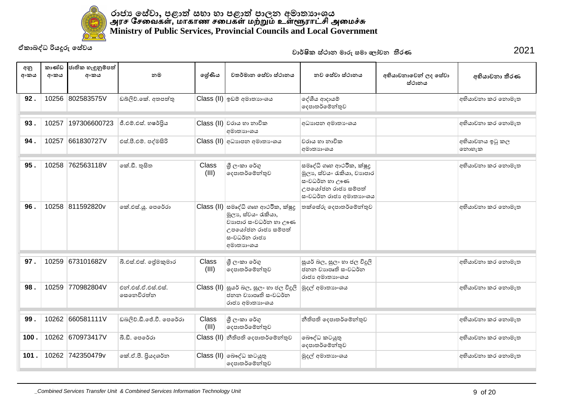

| අනු<br>අංකය | කාණ්ඩ<br>අංකය | ජාතික හැඳුනුම්පත්<br>අංකය | නම                               | ලශ්ණිය         | වතර්මාන සේවා ස්ථානය                                                                                                                    | නුව සේවා ස්ථානය                                                                                                          | අභියාචනාවෙන් ලද සේවා<br>ස්ථානය | අභියාචනා තීරණ            |
|-------------|---------------|---------------------------|----------------------------------|----------------|----------------------------------------------------------------------------------------------------------------------------------------|--------------------------------------------------------------------------------------------------------------------------|--------------------------------|--------------------------|
| 92.         |               | 10256 802583575V          | ඩබ්ලිව්.කේ. අතපත්තු              |                | Class (II) ඉඩම් අමාතාහංශය                                                                                                              | දේශීය ආදායම්<br>දෙපාතර්මේන්තුව                                                                                           |                                | අභියාචනා කර තොමැත        |
| 93.         | 10257         | 197306600723              | ජී.එම්.එස්. හෂර්පිය              |                | $Class$ (II) වරාය හා නාවික<br>අමාතාහංශය                                                                                                | අධාහපන අමාතා ශය                                                                                                          |                                | අභියාවනා කර නොමැත        |
| 94.         | 10257         | 661830727V                | එස්.පී.එම්. පද්මසිරි             |                | Class (II) අධාහපන අමාතා ශය                                                                                                             | වරාය හා නාවික<br>අමාතාහංශය                                                                                               |                                | අභියාවනය ඉටු කල<br>නොහැක |
| 95.         | 10258         | 762563118V                | කේ.ඩී. තුසිත                     | Class<br>(III) | ශී ලංකා රේගු<br>දෙපාතර්මේන්තුව                                                                                                         | සමෘද්ධි ගෘහ ආථරීක, ක්ෂූදු<br>මූලා, ස්වයං රැකියා, වාහපාර<br>සංවධර්න හා ඌණ<br>උපයෝජන රාජා සම්පත්<br>සංවධර්න රාජා අමාතාහංශය |                                | අභියාවනා කර නොමැත        |
| 96.         |               | 10258 811592820v          | කේ.එස්.ශූ. පෙරේරා                |                | Class (II) සමෘද්ධි ගෘහ ආථරික, ක්ෂූදු<br>මූලා, ස්වයං රැකියා,<br>වාහපාර සංවධර්න හා ඌණ<br>උපයෝජන රාජා සම්පත්<br>සංවධර්න රාජා<br>අමාතාහංශය | තක්සේරු දෙපාතර්මේන්තුව                                                                                                   |                                | අභියාචනා කර නොමැත        |
| 97.         | 10259         | 673101682V                | බී.එස්.එස්. ලූලිකුමාර            | Class<br>(III) | ශී ලංකා රේගු<br>දෙපාතර්මේන්තුව                                                                                                         | සුයර් බල, සුලං හා ජල විදුලි<br>ජනන වාහයක් සංවධර්න<br>රාජා අමාතාගංශය                                                      |                                | අභියාචනා කර නොමැත        |
| 98.         | 10259         | 770982804V                | එන් එස්.ඒ.එස්.එස්.<br>෧සකෙවිරත්න |                | $Class$ (II) සුයර් බල, සුලං හා ජල විදුලි<br>ජනන වාහයුති සංවධර්ත<br>රාජා අමාතාගංශය                                                      | මුදල් අමාතනංශය                                                                                                           |                                | අභියාවනා කර නොමැත        |
| 99.         |               | 10262 660581111V          | ඩබලිව්.ඩී.ජේ.වී. පෙරේරා          | Class<br>(III) | ශී ලංකා රේගු<br>දෙපාතර්මේන්තුව                                                                                                         | නීතිපති දෙපාතර්මේන්තුව                                                                                                   |                                | අභියාවනා කර නොමැත        |
| 100.        |               | 10262 670973417V          | බී.ඩී. පෙරේරා                    |                | Class (II) නීතිපති දෙපාතර්මෙන්තුව                                                                                                      | බෞද්ධ කටයුතු<br>දෙපාතර්මේන්තුව                                                                                           |                                | අභියාවනා කර නොමැත        |
| 101.        |               | 10262 742350479v          | කේ.ඒ.පී. පියදශර්න                |                | Class (II) වෙදේධ කටයුතු<br>දෙපාතර්මේන්තුව                                                                                              | මුදල් අමාතාහංශය                                                                                                          |                                | අභියාචනා කර නොමැත        |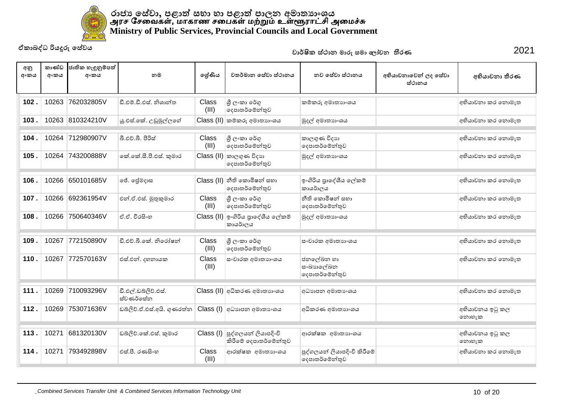

| අනු<br>අංකය | කාණ්ඩ<br>අංකය | ජාතික හැඳුනුම්පත්<br>අංකය | නම                               | ලශ්ණිය         | වතර්මාන සේවා ස්ථානය                                                     | නව සේවා ස්ථානය                                | අභියාචනාවෙන් ලද සේවා<br>ස්ථානය | අභියාචනා තීරණ            |
|-------------|---------------|---------------------------|----------------------------------|----------------|-------------------------------------------------------------------------|-----------------------------------------------|--------------------------------|--------------------------|
| 102.        | 10263         | 762032805V                | ඩී.එම්.ඩී.එස්, නිශාන්ත           | Class<br>(III) | ශී ලංකා රේගු<br>දෙපාතර්මේන්තුව                                          | කම්කරු අමාතාහංශය                              |                                | අභියාචනා කර නොමැත        |
| 103.        |               | 10263 810324210V          | යු.එස්.කේ. උඩුමුල්ලගේ            |                | $\textsf{Class}\left(\textsf{II}\right)$ කම්කරු අමාතාහංශය               | මුදල් අමාතනංශය                                |                                | අභියාචනා කර නොමැත        |
| 104         | 10264         | 712980907V                | බී.එච්.බී. පිරිස්                | Class<br>(III) | ශී ලංකා රේගු<br>දෙපාතර්මේන්තුව                                          | කාලගුණ විදාහ<br>දෙපාතර්මේන්තුව                |                                | අභියාචනා කර නොමැත        |
| 105.        |               | 10264 743200888V          | කේ.කේ.සී.පී.එස්. කුමාර           |                | $\textsf{Class}\left(\textsf{II}\right)$ කාලගුණ විදාහ<br>දෙපාතර්මේන්තුව | මුදල් අමාතාගංශය                               |                                | අභියාචනා කර නොමැත        |
| 106.        | 10266         | 650101685V                | ජේ. ලේමදාස                       |                | $Class$ (II) නීති කොමිෂන් සභා<br>දෙපාතර්මේන්තුව                         | ඉංගිරිය පාදේශීය ලේකම්<br>කායර්ාලය             |                                | අභියාචනා කර නොමැත        |
| 107.        | 10266         | 692361954V                | එන්.ඒ.එස්. මුතුකුමාර             | Class<br>(III) | ශී ලංකා රේගු<br>දෙපාතර්මේන්තුව                                          | නීති කොමිෂන් සහා<br>දෙපාතර්මේන්තුව            |                                | අභියාචනා කර නොමැත        |
| 108         | 10266         | 750640346V                | ඒ.ඒ. වීරසිංහ                     |                | Class (II) ඉංගිරිය පාදේශීය ලේකම්<br>කායර්ාලය                            | මුදල් අමාතාගංශය                               |                                | අභියාචනා කර නොමැත        |
| 109         | 10267         | 772150890V                | ඩී.එච්.බී.කේ. නිරෝෂන්            | Class<br>(III) | ශී ලංකා රේගු<br>දෙපාතර්මේන්තුව                                          | සංචාරක අමාතාහංශය                              |                                | අභියාචනා කර නොමැත        |
| 110         | 10267         | 772570163V                | එස්.එන්. දහනායක                  | Class<br>(III) | සංචාරක අමාතාහංශය                                                        | ජනලේඛන හා<br>සංඛාහලේඛන<br>දෙපාතර්මේන්තුව      |                                | අභියාවනා කර නොමැත        |
| 111.        | 10269         | 710093296V                | ඩී.එල්.ඩබ්ලිව්.එස්.<br>ස්වණර්සේන |                | Class (II) අධිකරණ අමාතාහංශය                                             | අධාහපන අමාතා ංශය                              |                                | අභියාචනා කර නොමැත        |
| 112.        | 10269         | 753071636V                | ඩබ්ලිව්.ඒ.එස්.අයි. ගුණරත්ත       |                | Class (I) අධාහපන අමාතාංශය                                               | අධිකරණ අමාතාහංශය                              |                                | අභියාචනය ඉටු කල<br>නොහැක |
| 113.        | 10271         | 681320130V                | ඩබ්ලිව්.කේ.එස්. කුමාර            |                | $Class (I)$ පුද්ගලයන් ලියාපදිංචි<br>කිරීමේ දෙපාතර්මේන්තුව               | ආරක්ෂක අමාතාහංශය                              |                                | අභියාචනය ඉටු කල<br>නොහැක |
| 114         | 10271         | 793492898V                | එස්.පී. රණසිංහ                   | Class<br>(III) | ආරක්ෂක අමාතාහංශය                                                        | පුද්ගලයන් ලියාපදිංචි කිරීමේ<br>දෙපාතර්මේන්තුව |                                | අභියාචනා කර නොමැත        |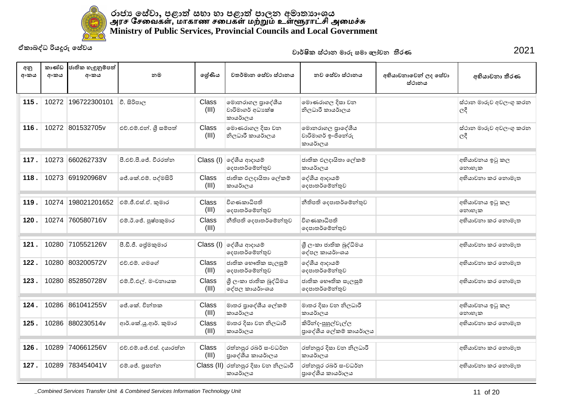

| අනු<br>අංකය | කාණ්ඩ<br>අංකය | ජාතික හැඳුනුම්පත්<br>අංකය | නම                      | ලශ්ණිය                | වතර්මාන සේවා ස්ථානය                               | නව සේවා ස්ථානය                                    | අභියාචනාවෙන් ලද සේවා<br>ස්ථානය | අභියාචනා තීරණ                 |
|-------------|---------------|---------------------------|-------------------------|-----------------------|---------------------------------------------------|---------------------------------------------------|--------------------------------|-------------------------------|
| 115.        | 10272         | 196722300101              | වී. සිරිපාල             | Class<br>(III)        | මොනරාගල පුාදේශීය<br>වාරිමාගර් අධාාක්ෂ<br>කායර්ාලය | මොණරාගල දිසා වන<br>නිලධාරී කායර්ාලය               |                                | ස්ථාන මාරුව අවලංගු කරන<br>ලදී |
| 116.        |               | 10272 801532705v          | එච්.එම්.එන්. ශූී සම්පත් | Class<br>(III)        | මොණරාගල දිසා වන<br>නිලධාරී කායර්ාලය               | මොනරාගල පාදේශීය<br>වාරිමාගර් ඉංජිනේරු<br>කායර්ාලය |                                | ස්ථාන මාරුව අවලංගු කරන<br>ලදී |
| 117.        | 10273         | 660262733V                | පී.එච්.පී.ජේ, වීරරත්න   |                       | $Class (I)$ ලද්ශීය ආදායම්<br>දෙපාතර්මේන්තුව       | ජාතික ඵලදායිතා ලේකම්<br>කායර්ාලය                  |                                | අභියාචනය ඉටු කල<br>නොහැක      |
| 118.        | 10273         | 691920968V                | ් ජේ.කේ.එම්. පද්මසිරි   | <b>Class</b><br>(III) | ජාතික ඵලදායිතා ලේකම්<br>කායර්ාලය                  | දේශීය ආදායම්<br>දෙපාතර්මේන්තුව                    |                                | අභියාචනා කර නොමැත             |
| 119         | 10274         | 198021201652              | එම්.ජී.එස්.ඒ. කුමාර     | Class<br>(III)        | විගණකාධිපති<br>දෙපාතර්මේන්තුව                     | නීතිපති දෙපාතර්මේන්තුව                            |                                | අභියාචනය ඉටු කල<br>නොහැක      |
| 120.        | 10274         | 760580716V                | එම්.ඊ.ජේ. පුෂ්පකුමාර    | Class<br>(III)        | නීතිපති දෙපාතර්මේන්තුව                            | විගණකාධිපති<br>දෙපාතර්මේන්තුව                     |                                | අභියාචනා කර නොමැත             |
| 121.        | 10280         | 710552126V                | පී.ඩී.ජී. ලේමකුමාර      |                       | $Class (I)$ ලද්ශීය ආදායම්<br>දෙපාතර්මේන්තුව       | ශී ලංකා ජාතික බුද්ධිමය<br>දේපල කායර්ාංශය          |                                | අභියාචනා කර නොමැත             |
| 122.        | 10280         | 803200572V                | එච්.එම්. ගමගේ           | <b>Class</b><br>(III) | ජාතික භෞතික සැලසුම්<br>දෙපාතර්මේන්තුව             | දේශීය ආදායම්<br>දෙපාතර්මේන්තුව                    |                                | අභියාචනා කර නොමැත             |
| 123.        |               | 10280 852850728V          | එම්.වී.එල්. මංචනායක     | Class<br>(III)        | ශුී ලංකා ජාතික බුද්ධිමය<br>දේපල කායර්ාංශය         | ජාතික භෞතික සැලසුම්<br>දෙපාතර්මේන්තුව             |                                | අභියාචනා කර නොමැත             |
| 124.        | 10286         | 861041255V                | ්රේ.කේ. චින්තක          | Class<br>(III)        | මාතර පාදේශීය ලේකම්<br>කායර්ාලය                    | මාතර දිසා වන නිලධාරී<br>කායර්ාලය                  |                                | අභියාචනය ඉටු කල<br>නොහැක      |
| 125.        |               | 10286 880230514v          | ආර්.කේ.ශූ.ආර්. කුමාර    | Class<br>(III)        | මාතර දිසා වන නිලධාරී<br>කායර්ාලය                  | කිරින්ද-පුහුල්වැල්ල<br>පාදේශීය ලේකම් කායර්ාලය     |                                | අභියාචනා කර නොමැත             |
| 126.        | 10289         | 740661256V                | එච්.එම්.ජේ.එස්. දයාරත්ත | Class<br>(III)        | රත්නපුර රබර් සංවධර්න<br>පාදේශීය කායර්ාලය          | රත්නපුර දිසා වන නිලධාරී<br>කායර්ාලය               |                                | අභියාචනා කර නොමැත             |
| 127.        |               | 10289 783454041V          | එම්.ජේ. පුසන්න          |                       | Class (II) රත්තපුර දිසා වන නිලධාරී<br>කායර්ාලය    | රත්නපුර රබර් සංවධර්න<br>පාදේශීය කායර්ාලය          |                                | අභියාචනා කර නොමැත             |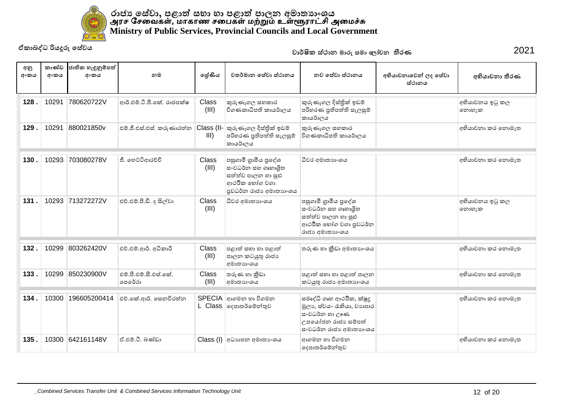

| අනු<br>අංකය | කාණ්ඩ<br>අංකය | ජාතික හැඳුනුම්පත්<br>අංකය | නම                              | ලශ්ණිය         | වතර්මාන සේවා ස්ථානය                                                                                          | නව සේවා ස්ථානය                                                                                                           | අභියාචනාවෙන් ලද සේවා<br>ස්ථානය | අභියාචනා තීරණ            |
|-------------|---------------|---------------------------|---------------------------------|----------------|--------------------------------------------------------------------------------------------------------------|--------------------------------------------------------------------------------------------------------------------------|--------------------------------|--------------------------|
| 128.        | 10291         | 780620722V                | ආර්.එම්.ටී.පී.කේ. රාජපක්ෂ       | Class<br>(III) | කුරුණෑගල සහකාර<br>විගණකාධිපති කායර්ාලය                                                                       | කුරුණෑගල දිස්තික් ඉඩම්<br>පරිහරණ පුතිපත්ති සැලසුම්<br>කායර්ාලය                                                           |                                | අභියාචනය ඉටු කල<br>නොහැක |
| 129.        | 10291         | 880021850v                | එම්.ජී.එස්.එස්. කරුණාරත්ත       | III)           | Class (II- කුරුණෑගල දිස්තික් ඉඩම්<br>පරිහරණ පුතිපත්ති සැලසුම්<br>කායර්ාලය                                    | කුරුණෑගල සහකාර<br>විගණකාධිපති කායර්ාලය                                                                                   |                                | අභියාචනා කර නොමැත        |
| 130.        | 10293         | 703080278V                | ජී. හෙට්ටිආරච්චි                | Class<br>(III) | පසුගාමී ගුාමීය පුදේශ<br>සංවධර්න සහ ගෘහාශිත<br>සත්ත්ව පාලන හා සුළු<br>ආථරීක භෝග වගා<br>පුවධර්න රාජා අමාතාගංශය | ධීවර අමාතාහංශය                                                                                                           |                                | අභියාවනා කර නොමැත        |
| 131.        |               | 10293 713272272V          | එච්.එම්.පී.ඩී. ද සිල්වා         | Class<br>(III) | ධීවර අමාතාහංශය                                                                                               | පසුගාමී ගුාමීය පුදේශ<br>සංවධර්න සහ ගෘහාශිත<br>සත්ත්ව පාලන හා සුළු<br>ආථරීක හෝග වගා පුවධර්න<br>රාජා අමාතාගංශය             |                                | අභියාචනය ඉටු කල<br>෩හැක  |
| 132.        | 10299         | 803262420V                | එච්.එම්.ආර්. අධිකාරි            | Class<br>(III) | පළාත් සභා හා පළාත්<br>පාලන කටයුතු රාජා<br>අමාතාහංශය                                                          | තරුණ හා කීඩා අමාතාගංශය                                                                                                   |                                | අභියාචනා කර නොමැත        |
| 133.        | 10299         | 850230900V                | එම්.පී.එම්.සී.එස්.කේ.<br>පෙරේරා | Class<br>(III) | තරුණ හා කීඩා<br>අමාතාහංශය                                                                                    | පළාත් සහා හා පළාත් පාලන<br>කටයුතු රාජා අමාතාගංශය                                                                         |                                | අභියාචනා කර නොමැත        |
| 134.        | 10300         | 196605200414              | එච්.කේ.ආර්. සෙනවිරත්න           |                | SPECIA ආගමන හා විගමන<br>L Class   ලෙසාතර්මේන්තුව                                                             | සමෘද්ධි ගෘහ ආථරීක, ක්ෂුදු<br>මූලා, ස්වයං රැකියා, වාහපාර<br>සංවධර්න හා ඌණ<br>උපයෝජන රාජා සම්පත්<br>සංවධර්න රාජා අමාතාහංශය |                                | අභියාචනා කර නොමැත        |
| 135.        |               | 10300 642161148V          | ඒ.එම්.ටී. බණ්ඩා                 |                | Class (I) අධාහපන අමාතාංශය                                                                                    | ආගමන හා විගමන<br>දෙපාතර්මේන්තුව                                                                                          |                                | අභියාවනා කර නොමැත        |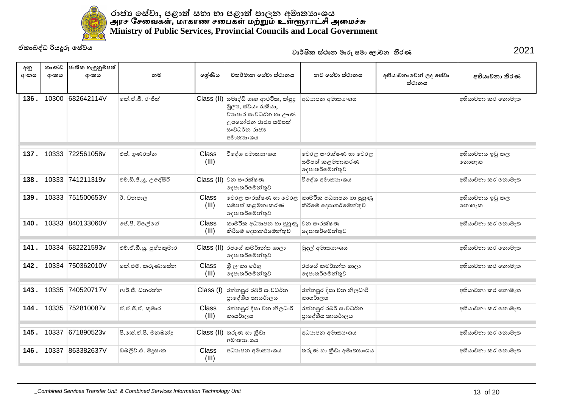

| අනු<br>අංකය | කාණ්ඩ<br>අංකය | ජාතික හැඳුනුම්පත්<br>අංකය | නම                      | ලශ්ණිය                | වතර්මාන සේවා ස්ථානය                                                                                                                    | නුව සේවා ස්ථානය                                           | අභියාචනාවෙන් ලද සේවා | අභියාචනා තීරණ            |
|-------------|---------------|---------------------------|-------------------------|-----------------------|----------------------------------------------------------------------------------------------------------------------------------------|-----------------------------------------------------------|----------------------|--------------------------|
|             |               |                           |                         |                       |                                                                                                                                        |                                                           | ස්ථානය               |                          |
| 136.        | 10300         | 682642114V                | කේ.ඒ.බී. රංජිත්         |                       | Class (II) සමෘද්ධි ගෘහ ආථරික, ක්ෂූදු<br>මූලා, ස්වයං රැකියා,<br>වාහපාර සංවධර්න හා ඌණ<br>උපයෝජන රාජා සම්පත්<br>සංවධර්න රාජා<br>අමාතාහංශය | අධාහපන අමාතා ශය                                           |                      | අභියාවනා කර නොමැත        |
| 137.        | 10333         | 722561058v                | එස්. ගුණරත්න            | Class<br>(III)        | විදේශ අමාතාහංශය                                                                                                                        | වෙරළ සංරක්ෂණ හා වෙරළ<br>සම්පත් කළමනාකරණ<br>දෙපාතර්මේන්තුව |                      | අභියාචනය ඉටු කල<br>නොහැක |
| 138.        |               | 10333 741211319v          | එච්.ඩී.ජී.ශූ. උදේසිරි   |                       | $Class$ (II) වන සංරක්ෂණ<br>දෙපාතර්මේන්තුව                                                                                              | විදේශ අමාතාහංශය                                           |                      | අභියාවනා කර නොමැත        |
| 139.        | 10333         | 751500653V                | ඊ. ධනපාල                | Class<br>(III)        | වෙරළ සංරක්ෂණ හා වෙරළ<br>සම්පත් කළමනාකරණ<br>දෙපාතර්මේන්තුව                                                                              | කාමරීක අධාහපන හා පුහුණු<br>කිරීමේ දෙපාතර්මේන්තුව          |                      | අභියාවනය ඉටු කල<br>නොහැක |
| 140.        |               | 10333 840133060V          | ජේ.පී. විලල්ගේ          | Class<br>(III)        | කාමරීක අධාහපන හා පුහුණු<br>කිරීමේ දෙපාතර්මේන්තුව                                                                                       | වන සංරක්ෂණ<br>දෙපාතර්මේන්තුව                              |                      | අභියාචනා කර නොමැත        |
| 141         | 10334         | 682221593v                | එච්.ඒ.ඩී.යු. පුෂ්පකුමාර |                       | Class (II) රජයේ කමර්ාන්ත ශාලා<br>දෙපාතර්මේන්තුව                                                                                        | මුදල් අමාතාගංශය                                           |                      | අභියාචනා කර නොමැත        |
| 142.        | 10334         | 750362010V                | කේ.එම්. කරුණාසේන        | Class<br>(III)        | ශී ලංකා රේගු<br>දෙපාතර්මේන්තුව                                                                                                         | රජයේ කමර්ාන්ත ශාලා<br>දෙපාතර්මේන්තුව                      |                      | අභියාවනා කර නොමැත        |
| 143.        | 10335         | 740520717V                | ආර්.ජී. ධනරත්න          | Class (I)             | රත්නපුර රබර් සංවධර්න<br>පාදේශීය කායර්ාලය                                                                                               | රත්නපුර දිසා වන නිලධාරී<br>කායර්ාලය                       |                      | අභියාවනා කර නොමැත        |
| 144.        | 10335         | 752810087v                | ඒ.ඒ.ජී.ඒ. කුමාර         | <b>Class</b><br>(III) | රත්නපුර දිසා වන නිලධාරී<br>කායර්ාලය                                                                                                    | රත්නපුර රබර් සංවධර්න<br>පාදේශීය කායර්ාලය                  |                      | අභියාවනා කර නොමැත        |
| 145.        | 10337         | 671890523v                | පී.කේ.ඒ.පී. මනබන්දු     |                       | $Class$ (II) තරුණ හා කීඩා<br>අමාතාහංශය                                                                                                 | අධාහපන අමාතා ංශය                                          |                      | අභියාවනා කර නොමැත        |
| 146.        | 10337         | 863382637V                | ඩබ්ලිව්.ඒ. මදූසංක       | <b>Class</b><br>(III) | අධාහපන අමාතා ංශය                                                                                                                       | තරුණ හා කීඩා අමාතාගංශය                                    |                      | අභියාචනා කර නොමැත        |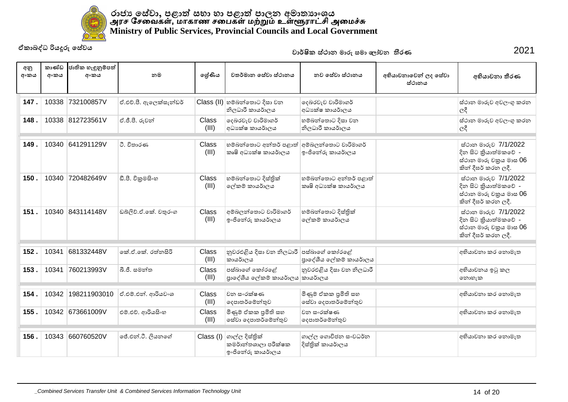

| අනු<br>අංකය | කාණ්ඩ<br>අංකය | ජාතික හැඳුනුම්පත්<br>අංකය | නම                     | ලශ්ණිය         | වතර්මාන සේවා ස්ථානය                                                  | නව සේවා ස්ථානය                                  | අභියාචනාවෙන් ලද සේවා<br>ස්ථානය | අභියාචනා තීරණ                                                                                 |
|-------------|---------------|---------------------------|------------------------|----------------|----------------------------------------------------------------------|-------------------------------------------------|--------------------------------|-----------------------------------------------------------------------------------------------|
| 147.        | 10338         | 732100857V                | ඒ.එච්.පී. ඇලෙක්සැන්ඩර් |                | Class (II) හම්බන්තොට දිසා වන<br>නිලධාරී කායර්ාලය                     | දෙබරවැව වාරිමාගර්<br>අධා ක්ෂ කායර්ාලය           |                                | ස්ථාන මාරුව අවලංගු කරන<br>ලදී                                                                 |
| 148         |               | 10338 812723561V          | ඒ.ජී.පී. රුවන්         | Class<br>(III) | දෙබරවැව වාරිමාගර්<br>අධාක්ෂ කායර්ාලය                                 | හම්බන්තොට දිසා වන<br>නිලධාරී කායර්ාලය           |                                | ස්ථාන මාරුව අවලංගු කරන<br>$ e^{\alpha}$                                                       |
| 149.        | 10340         | 641291129V                | ටී. විතාරණ             | Class<br>(III) | හම්බන්තොට අන්තර් පළාත්<br>කෘෂි අධාහේෂ කායර්ාලය                       | අම්බලන්තොට වාරිමාගර්<br>ෞජිතේරු කායර්ාලය        |                                | ස්ථාන මාරුව 7/1/2022<br>දින සිට කියාත්මකවේ -<br>ස්ථාන මාරු චකුය මාස 06<br>කින් දීඝර් කරන ලදී. |
| 150.        | 10340         | 720482649V                | ඩී.පී. විකුමසිංහ       | Class<br>(III) | හම්බන්තොට දිස්තික්<br>ලේකම් කායර්ාලය                                 | හම්බන්තොට අන්තර් පළාත්<br>කෘෂි අධාපක්ෂ කායර්ාලය |                                | ස්ථාන මාරුව 7/1/2022<br>දින සිට කියාත්මකවේ -<br>ස්ථාන මාරු චකුය මාස 06<br>කින් දීඝර් කරන ලදී. |
| 151.        |               | 10340 843114148V          | ඩබ්ලිව්.ඒ.කේ. චතුරංග   | Class<br>(III) | අම්බලන්තොට වාරිමාගර්<br>ඉංජිතේරු කායර්ාලය                            | හම්බන්තොට දිස්තික්<br>ලේකම් කායර්ාලය            |                                | ස්ථාන මාරුව 7/1/2022<br>දින සිට කියාත්මකවේ -<br>ස්ථාන මාරු චකුය මාස 06<br>කින් දීඝර් කරන ලදී. |
| 152.        | 10341         | 681332448V                | කේ.ඒ.කේ. රත්නසිරි      | Class<br>(III) | නුවරඑළිය දිසා වන නිලධාරී පස්බාගේ කෝරළේ<br>කායර්ාලය                   | පාදේශීය ලේකම් කායර්ාලය                          |                                | අභියාවනා කර නොමැත                                                                             |
| 153.        | 10341         | 760213993V                | බී.ජී. සමන්ත           | Class<br>(III) | පස්බාගේ කෝරළේ<br>පාදේශීය ලේකම් කායර්ාලය කායර්ාලය                     | නුවරඑළිය දිසා වන නිලධාරී                        |                                | අභියාචනය ඉටු කල<br>෩හැක                                                                       |
| 154.        | 10342         | 198211903010              | ඒ.එම්.එන්. ආරියවංශ     | Class<br>(III) | වන සංරක්ෂණ<br>දෙපාතර්මේන්තුව                                         | මිණුම් ඒකක පුමිති සහ<br>සේවා දෙපාතර්මේන්තුව     |                                | අභියාචනා කර නොමැත                                                                             |
| 155.        |               | 10342 673661009V          | එම්.එච්. ආරියසිංහ      | Class<br>(III) | මිණුම් ඒකක පුමිති සහ<br>සේවා දෙපාතර්මේන්තුව                          | වන සංරක්ෂණ<br>දෙපාතර්මේන්තුව                    |                                | අභියාචනා කර නොමැත                                                                             |
| 156.        | 10343         | 660760520V                | ජේ.එන්.ටී. ලියනගේ      |                | Class (I) ගාල්ල දිස්තික්<br>කමර්ාන්තශාලා පරීක්ෂක<br>ෞජිතේරු කායර්ාලය | ගාල්ල ගොවිජන සංවධර්න<br>දිස්තික් කායර්ාලය       |                                | අභියාවනා කර නොමැත                                                                             |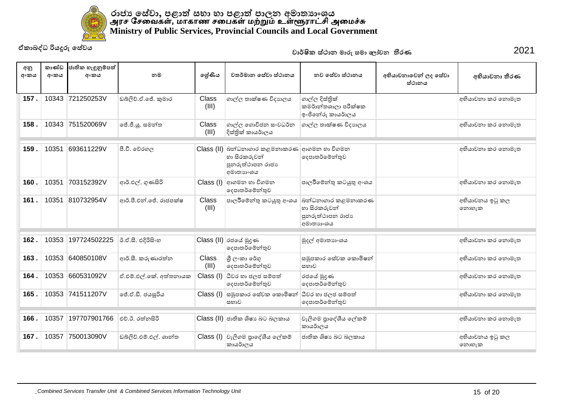

| අනු<br>අංකය | කාණ්ඩ<br>අංකය | ජාතික හැඳුනුම්පත්<br>අංකය | නම                     | ලශ්ණිය         | වතර්මාන සේවා ස්ථානය                                                                          | නව සේවා ස්ථානය                                                      | අභියාචනාවෙන් ලද සේවා<br>ස්ථානය | අභියාචනා තීරණ            |
|-------------|---------------|---------------------------|------------------------|----------------|----------------------------------------------------------------------------------------------|---------------------------------------------------------------------|--------------------------------|--------------------------|
| 157.        |               | 10343 721250253V          | ඩබ්ලිව්.ඒ.ජේ. කුමාර    | Class<br>(III) | ගාල්ල තාක්ෂණ විදාහලය                                                                         | ගාල්ල දිස්තිුක්<br>කමර්ාන්තශාලා පරීක්ෂක<br>ෞජිතේරු කායර්ාලය         |                                | අභියාවනා කර නොමැත        |
| 158.        |               | 10343 751520069V          | ් ජේ.ජී.යු. සමන්ත      | Class<br>(III) | ගාල්ල ගොවිජන සංවධර්න<br>දිස්තික් කායර්ාලය                                                    | ගාල්ල තාක්ෂණ විදාහලය                                                |                                | අභියාචනා කර නොමැත        |
| 159         | 10351         | 693611229V                | පී.වී. වේරගල           |                | Class (II) බන්ධනාගාර කළමනාකරණ ආගමන හා විගමන<br>හා සිරකරුවන්<br>පුනරුත්ථාපන රාජා<br>අමාතාහංශය | දෙපාතර්මේන්තුව                                                      |                                | අභියාවනා කර නොමැත        |
| 160.        | 10351         | 703152392V                | ආර්.එල්. ගුණසිරි       | Class (I)      | ආගමන හා විගමන<br>දෙපාතර්මේන්තුව                                                              | පාලරීමේන්තු කටයුතු අංශය                                             |                                | අභියාවනා කර නොමැත        |
| 161.        | 10351         | 810732954V                | ආර්.පී.එන්.ජේ. රාජපක්ෂ | Class<br>(III) | පාලරීමේන්තු කටයුතු අංශය                                                                      | බන්ධනාගාර කළමනාකරණ<br>හා සිරකරුවන්<br>පුනරුත්ථාපන රාජා<br>අමාතාහංශය |                                | අභියාචනය ඉටු කල<br>නොහැක |
| 162.        | 10353         | 197724502225              | ඊ.ඒ.සී. එදිරිසිංහ      |                | Class (II) රජයේ මුදණ<br>දෙපාතර්මේන්තුව                                                       | මුදල් අමාතාගංශය                                                     |                                | අභියාචනා කර නොමැත        |
| 163         | 10353         | 640850108V                | ආර්.සී. කරුණාරත්න      | Class<br>(III) | ශී ලංකා රේගු<br>දෙපාතර්මේන්තුව                                                               | සමුපකාර සේවක කොමිෂන්<br>සභාව                                        |                                | අභියාචනා කර නොමැත        |
| 164.        | 10353         | 660531092V                | ඒ.එම්.එල්.කේ. අත්තනායක |                | $Class (I)$ ධීවර හා ජලජ සම්පත්<br>දෙපාතර්මේන්තුව                                             | රජයේ මුදුණ<br>දෙපාතර්මේන්තුව                                        |                                | අභියාවනා කර නොමැත        |
| 165         |               | 10353 741511207V          | ලජ්.ඒ.ඩී. ජයසූරිය      |                | Class (I) සමූපකාර සේවක කොමිෂන්<br>සභාව                                                       | ධීවර හා ජලජ සම්පත්<br>දෙපාතර්මේන්තුව                                |                                | අභියාවනා කර නොමැත        |
| 166         | 10357         | 197707901766              | එච්.ඊ. රත්නසිරි        |                | Class (II) ජාතික ශිෂා බට බලකාය                                                               | වැලිගම පුාදේශීය ලේකම්<br>කායර්ාලය                                   |                                | අභියාචනා කර නොමැත        |
| 167.        | 10357         | 750013090V                | ඩබ්ලිව්.එම්.එල්. ශාන්ත |                | Class (I) වැලිගම පාදේශීය ලේකම්<br>කායර්ාලය                                                   | ජාතික ශිෂාා බට බලකාය                                                |                                | අභියාවනය ඉටු කල<br>නොහැක |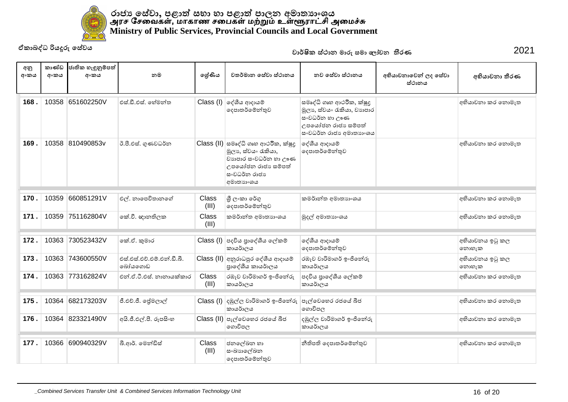

| අනු<br>අංකය | කාණ්ඩ<br>අංකය | ජාතික හැඳුනුම්පත්<br>අංකය | නම                                   | ලශ්ණිය                | වතර්මාන සේවා ස්ථානය                                                                                                                                            | නව සේවා ස්ථානය                                                                                                          | අභියාචනාවෙන් ලද සේවා<br>ස්ථානය | අභියාචනා තීරණ            |
|-------------|---------------|---------------------------|--------------------------------------|-----------------------|----------------------------------------------------------------------------------------------------------------------------------------------------------------|-------------------------------------------------------------------------------------------------------------------------|--------------------------------|--------------------------|
| 168.        | 10358         | 651602250V                | එස්.ඩී.එස්. හේමන්ත                   |                       | $Class (I)$ ලද්ශීය ආදායම්<br>දෙපාතර්මේන්තුව                                                                                                                    | සමෘද්ධි ගෘහ ආථරීක, ක්ෂුදු<br>මූලා ස්වයං රැකියා, වාහපාර<br>සංවධර්න හා ඌණ<br>උපයෝජන රාජා සම්පත්<br>සංවධර්න රාජා අමාතාහංශය |                                | අභියාවනා කර නොමැත        |
| 169.        |               | 10358 810490853v          | ඊ.පී.එස්. ගුණවධර්න                   |                       | Class (II) සමෘද්ධි ගෘහ ආථරික, ක්ෂූදු<br>මූලා, ස්වයං රැකියා,<br>වාහපාර සංවධර්න හා ඌණ<br>උපයෝජන රාජා සම්පත්<br>ස∘වධර්න රාජාා<br>අමාතාහංශය                        | දේශීය ආදායම්<br>දෙපාතර්මේන්තුව                                                                                          |                                | අභියාචනා කර නොමැත        |
| 170.        | 10359         | 660851291V                | එල්. නාපෙවිතානගේ                     | Class<br>(III)        | ශී ලංකා රේගු<br>දෙපාතර්මේන්තුව                                                                                                                                 | කමර්ාන්ත අමාතාහංශය                                                                                                      |                                | අභියාවනා කර නොමැත        |
| 171         | 10359         | 751162804V                | කේ.වී. ඥානතිලක                       | <b>Class</b><br>(III) | කමර්ාන්ත අමාතාහංශය                                                                                                                                             | මුදල් අමාතාගංශය                                                                                                         |                                | අභියාවනා කර නොමැත        |
| 172.        | 10363         | 730523432V                | කේ.ඒ. කුමාර                          |                       | Class (I) පදවිය පාදේශීය ලේකම්<br>කායර්ාලය                                                                                                                      | දේශීය ආදායම්<br>දෙපාතර්මේන්තුව                                                                                          |                                | අභියාචනය ඉටු කල<br>නොහැක |
| 173.        | 10363         | 743600550V                | එස්.එස්.එච්.එම්.එන්.ඩී.බී.<br>බෝයගොඩ |                       | Class (II) අනුරාධපුර දේශීය ආදායම්<br>පාදේශීය කායර්ාලය                                                                                                          | රඹෑව වාරිමාගර් ඉංජිනේරු<br>කායර්ාලය                                                                                     |                                | අභියාවනය ඉටු කල<br>නොහැක |
| 174         |               | 10363 773162824V          | එන්.ඒ.ටී.එස්, නානායක්කාර             | <b>Class</b><br>(III) | රඹෑව වාරිමාගර් ඉංජිතේරු<br>කායර්ාලය                                                                                                                            | පදවිය පුාදේශීය ලේකම්<br>කායර්ාලය                                                                                        |                                | අභියාචනා කර නොමැත        |
| 175.        | 10364         | 682173203V                | ජී.එච්.ජී. ජේමලාල්                   |                       | $\textsf{Class} \left( \mathsf{I} \right) \left  \begin{smallmatrix} 1 & 0 \\ 0 & 1 \end{smallmatrix} \right  \in \mathbb{R}$ ල වාරිමාගර් ඉංජිනේරු<br>කායර්ාලය | පැල්වෙහෙර රජයේ බීජ<br>ගොවිපල                                                                                            |                                | අභියාවනා කර නොමැත        |
| 176.        |               | 10364 823321490V          | අයි.ජී.එල්.පී. රූපසිංහ               |                       | Class (II) පැල්වෙහෙර රජයේ බීජ<br>ගොවිපල                                                                                                                        | දඹුල්ල වාරිමාගර් ඉංජිනේරු<br>කායර්ාලය                                                                                   |                                | අභියාවනා කර නොමැත        |
| 177.        | 10366         | 690940329V                | බී.ආර්. මෙන්ඩිස්                     | Class<br>(III)        | ජනලේඛන හා<br>සංඛාහලේඛන<br>දෙපාතර්මේන්තුව                                                                                                                       | නීතිපති දෙපාතර්මේන්තුව                                                                                                  |                                | අභියාචනා කර නොමැත        |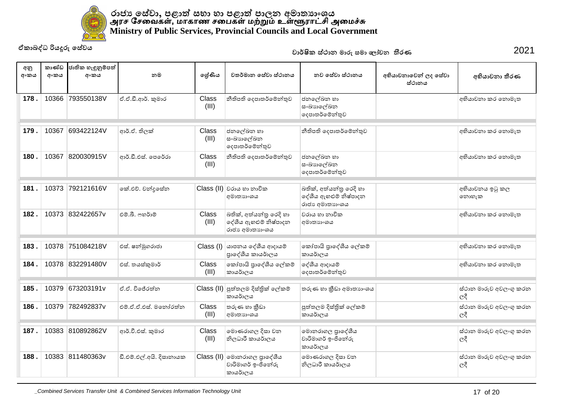

| අනු<br>අංකය | කාණ්ඩ<br>අංකය | ජාතික හැඳුනුම්පත්<br>අංකය | නම                       | ලශ්ණිය         | වතර්මාන සේවා ස්ථානය                                                | නව සේවා ස්ථානය                                                     | අභියාචනාවෙන් ලද සේවා<br>ස්ථානය | අභියාචනා තීරණ                         |
|-------------|---------------|---------------------------|--------------------------|----------------|--------------------------------------------------------------------|--------------------------------------------------------------------|--------------------------------|---------------------------------------|
| 178         | 10366         | 793550138V                | ඒ.ඒ.ඩී.ආර්. කුමාර        | Class<br>(III) | නීතිපති දෙපාතර්මේන්තුව                                             | ජනලේඛන හා<br>සංඛාහලේඛන<br>දෙපාතර්මේන්තුව                           |                                | අභියාචනා කර නොමැත                     |
| 179.        | 10367         | 693422124V                | ආර්.ඒ. තිලක්             | Class<br>(III) | ජනලේඛන හා<br>සංඛාහලේඛන<br>දෙපාතර්මේන්තුව                           | නීතිපති දෙපාතර්මේන්තුව                                             |                                | අභියාවනා කර නොමැත                     |
| 180.        | 10367         | 820030915V                | ආර්.ඩී.එස්. පෙරේරා       | Class<br>(III) | නීතිපති දෙපාතර්මේන්තුව                                             | ජනලේඛන හා<br>සංඛාහලේඛන<br>දෙපාතර්මේන්තුව                           |                                | අභියාවනා කර නොමැත                     |
| 181.        | 10373         | 792121616V                | කේ.එච්. චන්දසේන          |                | Class (II) වරාය හා නාවික<br>අමාතාහංශය                              | බතික්, අත්යන්තු රෙදි හා<br>දේශීය ඇහළුම් නිෂ්පාදන<br>රාජා අමාතාා∘ශය |                                | අභියාචනය ඉටු කල<br>නොහැක              |
| 182.        |               | 10373 832422657y          | එම්.බී. ෆහර්ාම්          | Class<br>(III) | බතික්, අත්යන්තු රෙදි හා<br>දේශීය ඇහළුම් නිෂ්පාදන<br>රාජා අමාතාහංශය | වරාය හා නාවික<br>අමාතාහංශය                                         |                                | අභියාචනා කර නොමැත                     |
| 183.        | 10378         | 751084218V                | එස්. ෂන්මුගරාජා          |                | $\text{Class}$ (l) යාපනය දේශීය ආදායම්<br>පාදේශීය කායර්ාලය          | කෝපායි පාදේශීය ලේකම්<br>කායර්ාලය                                   |                                | අභියාචනා කර නොමැත                     |
| 184         |               | 10378 832291480V          | එස්. තයස්කුමාර්          | Class<br>(III) | කෝපායි පුාදේශීය ලේකම්<br>කායර්ාලය                                  | දේශීය ආදායම්<br>දෙපාතර්මේන්තුව                                     |                                | අභියාවනා කර නොමැත                     |
| 185.        | 10379         | 673203191v                | ඒ.ඒ. විජේරත්ත            |                | Class (II) පුත්තලම දිස්තික් ලේකම්<br>කායර්ාලය                      | තරුණ හා කීඩා අමාතාහංශය                                             |                                | ස්ථාන මාරුව අවලංගු කරන<br>ලදී         |
| 186.        | 10379         | 782492837v                | එම්.ඒ.ඒ.එස්. මතෝරත්න     | Class<br>(III) | තරුණ හා කීඩා<br>අමාතාහංශය                                          | පුත්තලම දිස්තික් ලේකම්<br>කායර්ාලය                                 |                                | ස්ථාන මාරුව අවලංගු කරන<br>ලදී         |
| 187         |               | 10383 810892862V          | ආර්.වී.එස්. කුමාර        | Class<br>(III) | මොණරාගල දිසා වන<br>නිලධාරී කායර්ාලය                                | මොනරාගල පුාදේශීය<br>වාරිමාගර් ඉංජිනේරු<br>කායර්ාලය                 |                                | ස්ථාන මාරුව අවලංගු කරන<br>$ e^{\xi} $ |
| 188.        |               | 10383 811480363v          | ඩී.එම්.එල්.අයි. දිසානායක |                | Class (II) මොනරාගල පුාදේශීය<br>වාරිමාගර් ඉංජිනේරු<br>කායර්ාලය      | මොණරාගල දිසා වන<br>නිලධාරී කායර්ාලය                                |                                | ස්ථාන මාරුව අවලංගු කරන<br>ලදී         |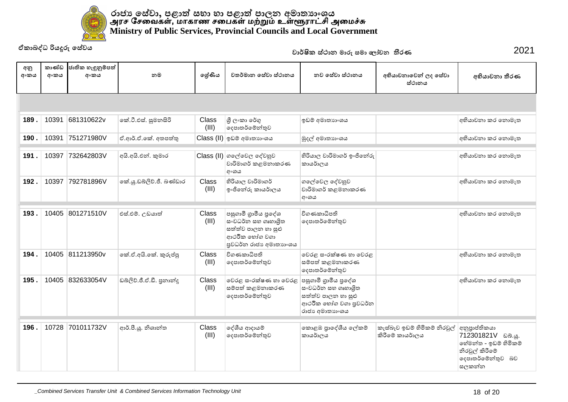

| ඒකාබද්ධ රියදුරු සේවය |               |                           |                           |                       |                                                                                                              | වාර්ෂික ස්ථාන මාරු සමා ලෝචන තීරණ                                                                             | 2021                                            |                                                                                                                       |
|----------------------|---------------|---------------------------|---------------------------|-----------------------|--------------------------------------------------------------------------------------------------------------|--------------------------------------------------------------------------------------------------------------|-------------------------------------------------|-----------------------------------------------------------------------------------------------------------------------|
| අනු<br>අංකය          | කාණ්ඩ<br>අංකය | ජාතික හැඳුනුම්පත්<br>අංකය | නම                        | ලශ්ණිය                | වතර්මාන සේවා ස්ථානය                                                                                          | නව සේවා ස්ථානය                                                                                               | අභියාචනාවෙන් ලද සේවා<br>ස්ථානය                  | අභියාචනා තීරණ                                                                                                         |
|                      |               |                           |                           |                       |                                                                                                              |                                                                                                              |                                                 |                                                                                                                       |
| 189.                 | 10391         | 681310622v                | කේ.ටී.එස්. සුමනසිරි       | Class<br>(III)        | ශී ලංකා රේගු<br>දෙපාතර්මේන්තුව                                                                               | ඉඩම් අමාතාහංශය                                                                                               |                                                 | අභියාවනා කර නොමැත                                                                                                     |
| 190.                 | 10391         | 751271980V                | ඒ.ආර්.ඒ.කේ. අතපත්තු       |                       | Class (II) ඉඩම් අමාතාහංශය                                                                                    | මුදල් අමාතාහංශය                                                                                              |                                                 | අභියාවනා කර නොමැත                                                                                                     |
| 191.                 | 10397         | 732642803V                | අයි.අයි.එන්. කුමාර        |                       | Class (II) ගලේවෙල දේවහුව<br>වාරිමාගර් කළමනාකරණ<br>අංශය                                                       | හිරියාල වාරිමාගර් ඉංජිනේරු<br>කායර්ාලය                                                                       |                                                 | අභියාවනා කර නොමැත                                                                                                     |
| 192.                 | 10397         | 792781896V                | කේ.යු.ඩබ්ලිව්.ජී. බණ්ඩාර  | Class<br>(III)        | හිරියාල වාරිමාගර්<br>ඉංජිනේරු කායර්ාලය                                                                       | ගලේවෙල දේවහුව<br>වාරිමාගර් කළමනාකරණ<br>අංශය                                                                  |                                                 | අභියාවනා කර නොමැත                                                                                                     |
| 193.                 | 10405         | 801271510V                | එස්.එම්. උඩයාත්           | <b>Class</b><br>(III) | පසුගාමී ගුාමීය පුදේශ<br>සංවධර්න සහ ගෘහාශිත<br>සත්ත්ව පාලන හා සුළු<br>ආථරික භෝග වගා<br>පුවධර්න රාජා අමාතාගංශය | විගණකාධිපති<br>දෙපාතර්මේන්තුව                                                                                |                                                 | අභියාවනා කර නොමැත                                                                                                     |
| 194.                 |               | 10405 811213950v          | කේ.ඒ.අයි.කේ. කුරුප්පු     | <b>Class</b><br>(III) | විගණකාධිපති<br>දෙපාතර්මේන්තුව                                                                                | වෙරළ සංරක්ෂණ හා වෙරළ<br>සම්පත් කළමනාකරණ<br>දෙපාතර්මේන්තුව                                                    |                                                 | අභියාවනා කර නොමැත                                                                                                     |
| 195.                 |               | 10405 832633054V          | ඩබ්ලිව්.ජී.ඒ.ඩී. පුනාන්දු | <b>Class</b><br>(III) | වෙරළ සංරක්ෂණ හා වෙරළ<br>සම්පත් කළමනාකරණ<br>දෙපාතර්මේන්තුව                                                    | පසුගාමී ගුාමීය පුදේශ<br>සංවධර්න සහ ගෘහාශිත<br>සත්ත්ව පාලන හා සුළු<br>ආථරීක හෝග වගා පුවධර්න<br>රාජා අමාතාගංශය |                                                 | අභියාවනා කර නොමැත                                                                                                     |
| 196.                 | 10728         | 701011732V                | ආර්.පී.ශූ. නිශාන්ත        | Class<br>(III)        | දේශීය ආදායම්<br>දෙපාතර්මේන්තුව                                                                               | කොළඹ පුාදේශීය ලේකම්<br>කායර්ාලය                                                                              | කැස්බෑව ඉඩම් හිමිකම් නිරවූල්<br>කිරීමේ කායර්ාලය | අනුපාප්තිකයා<br>712301821V ವಿನಿ. <u>.</u> .<br>හේමන්ත - ඉඩම් හිමිකම්<br>නිරවූල් කිරීමේ<br>දෙපාතර්මේන්තුව බව<br>සලකන්න |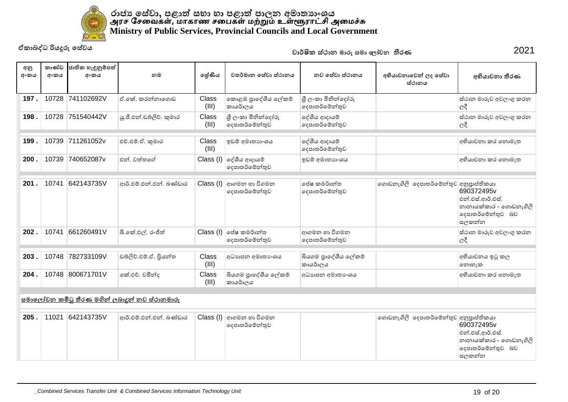

| අනු<br>අංකය | කාණ්ඩ<br>අංකය                                        | ජාතික හැඳුනුම්පත්<br>අංකය | නම                       | ලශ්ණිය         | වතර්මාන සේවා ස්ථානය                         | නව සේවා ස්ථානය                       | අභියාචනාවෙන් ලද සේවා<br>ස්ථානය        | අභියාචනා තීරණ                                                                           |  |  |  |
|-------------|------------------------------------------------------|---------------------------|--------------------------|----------------|---------------------------------------------|--------------------------------------|---------------------------------------|-----------------------------------------------------------------------------------------|--|--|--|
| 197.        |                                                      | 10728 741102692V          | ඒ.කේ. කරන්නාගොඩ          | Class<br>(III) | කොළඹ පුාදේශීය ලේකම්<br>කායර්ාලය             | ශී ලංකා මිනින්දෝරු<br>දෙපාතර්මේන්තුව |                                       | ස්ථාන මාරුව අවලංගු කරන<br>ලදී                                                           |  |  |  |
| 198.        |                                                      | 10728 751540442V          | ශු.ජී.එන්.ඩබ්ලිව්, කුමාර | Class<br>(III) | ශී ලංකා මිනින්දෝරු<br>දෙපාතර්මේන්තුව        | දේශීය ආදායම්<br>දෙපාතර්මේන්තුව       |                                       | ස්ථාන මාරුව අවලංගු කරන<br>ලදී                                                           |  |  |  |
| 199         | 10739                                                | 711261052v                | එච්.එම්.ඒ. කුමාර         | Class<br>(III) | ඉඩම් අමාතාහංශය                              | දේශීය ආදායම්<br>දෙපාතර්මේන්තුව       |                                       | අභියාචනා කර නොමැත                                                                       |  |  |  |
| 200         | 10739                                                | 740652087v                | එන් වත්තගේ               | Class (I)      | ලද්ශීය ආදායම්<br>දෙපාතර්මේන්තුව             | ඉඩම් අමාතාහංශය                       |                                       | අභියාවනා කර නොමැත                                                                       |  |  |  |
| 201         | 10741                                                | 642143735V                | ආර්.එම්.එන්.එන්. බණ්ඩාර  | Class (I)      | ආගමන හා විගමන<br>දෙපාතර්මේන්තුව             | පේෂ කමර්ාන්ත<br>දෙපාතර්මේන්තුව       | ගොඩනැගිලි දෙපාතර්මේන්තුව අනුපාප්තිකයා | 690372495v<br>එන්.එස්.ආර්.එස්.<br>නානායක්කාර - ගොඩනැගිලි<br>දෙපාතර්මේන්තුව බව<br>සලකන්න |  |  |  |
| 202         | 10741                                                | 661260491V                | බී.කේ.එල්. රංජිත්        |                | $Class (I)$ ලප්ෂ කමර්ාන්ත<br>දෙපාතර්මේන්තුව | ආගමන හා විගමන<br>දෙපාතර්මේන්තුව      |                                       | ස්ථාන මාරුව අවලංගු කරන<br>ලදී                                                           |  |  |  |
| 203         | 10748                                                | 782733109V                | ඩබලිව්.එම්.ඒ. පියන්ත     | Class<br>(III) | අධාහපන අමාතා ශය                             | බියගම පුාදේශීය ලේකම්<br>කායර්ාලය     |                                       | අභියාචනය ඉටු කල<br>නොහැක                                                                |  |  |  |
| 204.        |                                                      | 10748 800671701V          | කේ.එච්. චමින්ද           | Class<br>(III) | බියගම පාදේශීය ලේකම්<br>කායර්ාලය             | අධාහපන අමාතා ශය                      |                                       | අභියාචනා කර නොමැත                                                                       |  |  |  |
|             | <u>සමාලෝචන කමිටු තීරණ මගින් ලබාදුන් නව ස්ථානමාරු</u> |                           |                          |                |                                             |                                      |                                       |                                                                                         |  |  |  |
| 205.        | 11021                                                | 642143735V                | ආර්.එම්.එන්.එන්. බණ්ඩාර  | Class (I)      | ආගමන හා විගමන<br>දෙපාතර්මේන්තුව             |                                      | ගොඩනැගිලි දෙපාතර්මේන්තුව අනුපාප්තිකයා | 690372495v<br>එන්.එස්.ආර්.එස්.<br>නානායක්කාර - ගොඩනැගිලි<br>දෙපාතර්මේන්තුව බව<br>සලකන්න |  |  |  |